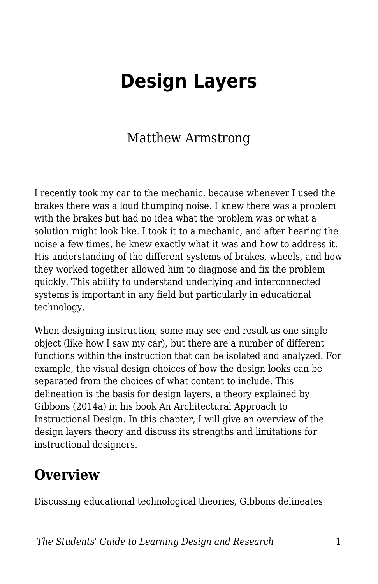# **Design Layers**

### Matthew Armstrong

I recently took my car to the mechanic, because whenever I used the brakes there was a loud thumping noise. I knew there was a problem with the brakes but had no idea what the problem was or what a solution might look like. I took it to a mechanic, and after hearing the noise a few times, he knew exactly what it was and how to address it. His understanding of the different systems of brakes, wheels, and how they worked together allowed him to diagnose and fix the problem quickly. This ability to understand underlying and interconnected systems is important in any field but particularly in educational technology.

When designing instruction, some may see end result as one single object (like how I saw my car), but there are a number of different functions within the instruction that can be isolated and analyzed. For example, the visual design choices of how the design looks can be separated from the choices of what content to include. This delineation is the basis for design layers, a theory explained by Gibbons (2014a) in his book An Architectural Approach to Instructional Design. In this chapter, I will give an overview of the design layers theory and discuss its strengths and limitations for instructional designers.

### **Overview**

Discussing educational technological theories, Gibbons delineates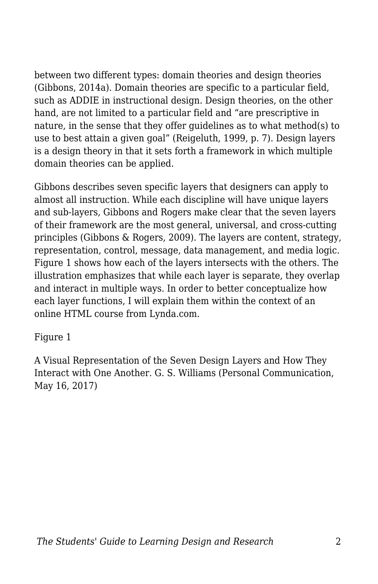between two different types: domain theories and design theories (Gibbons, 2014a). Domain theories are specific to a particular field, such as ADDIE in instructional design. Design theories, on the other hand, are not limited to a particular field and "are prescriptive in nature, in the sense that they offer guidelines as to what method(s) to use to best attain a given goal" (Reigeluth, 1999, p. 7). Design layers is a design theory in that it sets forth a framework in which multiple domain theories can be applied.

Gibbons describes seven specific layers that designers can apply to almost all instruction. While each discipline will have unique layers and sub-layers, Gibbons and Rogers make clear that the seven layers of their framework are the most general, universal, and cross-cutting principles (Gibbons & Rogers, 2009). The layers are content, strategy, representation, control, message, data management, and media logic. Figure 1 shows how each of the layers intersects with the others. The illustration emphasizes that while each layer is separate, they overlap and interact in multiple ways. In order to better conceptualize how each layer functions, I will explain them within the context of an online HTML course from Lynda.com.

#### Figure 1

A Visual Representation of the Seven Design Layers and How They Interact with One Another. G. S. Williams (Personal Communication, May 16, 2017)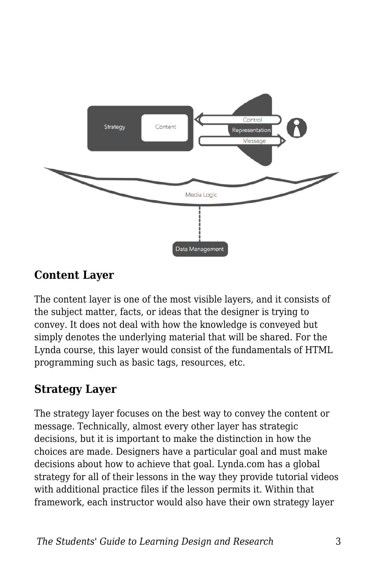

#### **Content Layer**

The content layer is one of the most visible layers, and it consists of the subject matter, facts, or ideas that the designer is trying to convey. It does not deal with how the knowledge is conveyed but simply denotes the underlying material that will be shared. For the Lynda course, this layer would consist of the fundamentals of HTML programming such as basic tags, resources, etc.

#### **Strategy Layer**

The strategy layer focuses on the best way to convey the content or message. Technically, almost every other layer has strategic decisions, but it is important to make the distinction in how the choices are made. Designers have a particular goal and must make decisions about how to achieve that goal. Lynda.com has a global strategy for all of their lessons in the way they provide tutorial videos with additional practice files if the lesson permits it. Within that framework, each instructor would also have their own strategy layer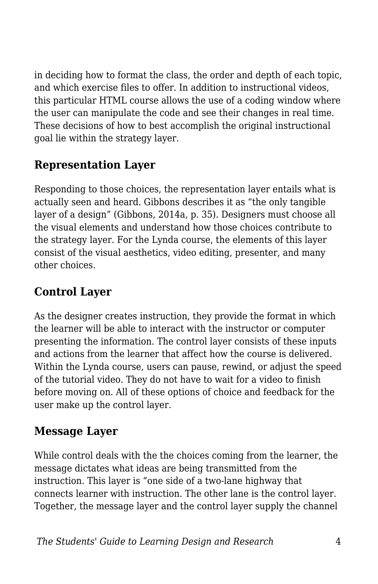in deciding how to format the class, the order and depth of each topic, and which exercise files to offer. In addition to instructional videos, this particular HTML course allows the use of a coding window where the user can manipulate the code and see their changes in real time. These decisions of how to best accomplish the original instructional goal lie within the strategy layer.

#### **Representation Layer**

Responding to those choices, the representation layer entails what is actually seen and heard. Gibbons describes it as "the only tangible layer of a design" (Gibbons, 2014a, p. 35). Designers must choose all the visual elements and understand how those choices contribute to the strategy layer. For the Lynda course, the elements of this layer consist of the visual aesthetics, video editing, presenter, and many other choices.

#### **Control Layer**

As the designer creates instruction, they provide the format in which the learner will be able to interact with the instructor or computer presenting the information. The control layer consists of these inputs and actions from the learner that affect how the course is delivered. Within the Lynda course, users can pause, rewind, or adjust the speed of the tutorial video. They do not have to wait for a video to finish before moving on. All of these options of choice and feedback for the user make up the control layer.

#### **Message Layer**

While control deals with the the choices coming from the learner, the message dictates what ideas are being transmitted from the instruction. This layer is "one side of a two-lane highway that connects learner with instruction. The other lane is the control layer. Together, the message layer and the control layer supply the channel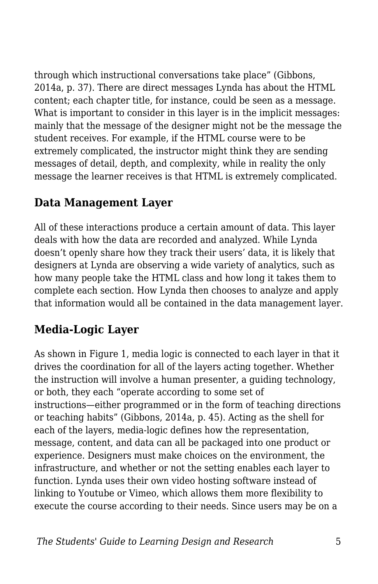through which instructional conversations take place" (Gibbons, 2014a, p. 37). There are direct messages Lynda has about the HTML content; each chapter title, for instance, could be seen as a message. What is important to consider in this layer is in the implicit messages: mainly that the message of the designer might not be the message the student receives. For example, if the HTML course were to be extremely complicated, the instructor might think they are sending messages of detail, depth, and complexity, while in reality the only message the learner receives is that HTML is extremely complicated.

#### **Data Management Layer**

All of these interactions produce a certain amount of data. This layer deals with how the data are recorded and analyzed. While Lynda doesn't openly share how they track their users' data, it is likely that designers at Lynda are observing a wide variety of analytics, such as how many people take the HTML class and how long it takes them to complete each section. How Lynda then chooses to analyze and apply that information would all be contained in the data management layer.

#### **Media-Logic Layer**

As shown in Figure 1, media logic is connected to each layer in that it drives the coordination for all of the layers acting together. Whether the instruction will involve a human presenter, a guiding technology, or both, they each "operate according to some set of instructions—either programmed or in the form of teaching directions or teaching habits" (Gibbons, 2014a, p. 45). Acting as the shell for each of the layers, media-logic defines how the representation, message, content, and data can all be packaged into one product or experience. Designers must make choices on the environment, the infrastructure, and whether or not the setting enables each layer to function. Lynda uses their own video hosting software instead of linking to Youtube or Vimeo, which allows them more flexibility to execute the course according to their needs. Since users may be on a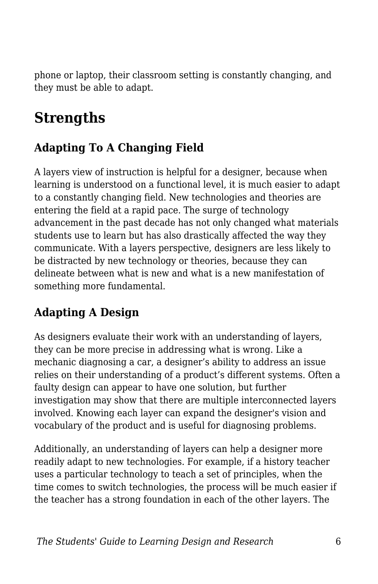phone or laptop, their classroom setting is constantly changing, and they must be able to adapt.

### **Strengths**

#### **Adapting To A Changing Field**

A layers view of instruction is helpful for a designer, because when learning is understood on a functional level, it is much easier to adapt to a constantly changing field. New technologies and theories are entering the field at a rapid pace. The surge of technology advancement in the past decade has not only changed what materials students use to learn but has also drastically affected the way they communicate. With a layers perspective, designers are less likely to be distracted by new technology or theories, because they can delineate between what is new and what is a new manifestation of something more fundamental.

#### **Adapting A Design**

As designers evaluate their work with an understanding of layers, they can be more precise in addressing what is wrong. Like a mechanic diagnosing a car, a designer's ability to address an issue relies on their understanding of a product's different systems. Often a faulty design can appear to have one solution, but further investigation may show that there are multiple interconnected layers involved. Knowing each layer can expand the designer's vision and vocabulary of the product and is useful for diagnosing problems.

Additionally, an understanding of layers can help a designer more readily adapt to new technologies. For example, if a history teacher uses a particular technology to teach a set of principles, when the time comes to switch technologies, the process will be much easier if the teacher has a strong foundation in each of the other layers. The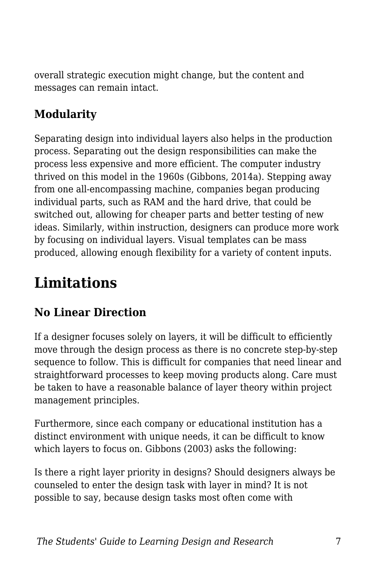overall strategic execution might change, but the content and messages can remain intact.

#### **Modularity**

Separating design into individual layers also helps in the production process. Separating out the design responsibilities can make the process less expensive and more efficient. The computer industry thrived on this model in the 1960s (Gibbons, 2014a). Stepping away from one all-encompassing machine, companies began producing individual parts, such as RAM and the hard drive, that could be switched out, allowing for cheaper parts and better testing of new ideas. Similarly, within instruction, designers can produce more work by focusing on individual layers. Visual templates can be mass produced, allowing enough flexibility for a variety of content inputs.

## **Limitations**

#### **No Linear Direction**

If a designer focuses solely on layers, it will be difficult to efficiently move through the design process as there is no concrete step-by-step sequence to follow. This is difficult for companies that need linear and straightforward processes to keep moving products along. Care must be taken to have a reasonable balance of layer theory within project management principles.

Furthermore, since each company or educational institution has a distinct environment with unique needs, it can be difficult to know which layers to focus on. Gibbons (2003) asks the following:

Is there a right layer priority in designs? Should designers always be counseled to enter the design task with layer in mind? It is not possible to say, because design tasks most often come with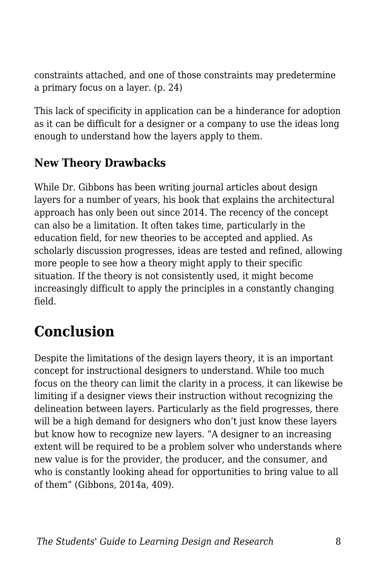constraints attached, and one of those constraints may predetermine a primary focus on a layer. (p. 24)

This lack of specificity in application can be a hinderance for adoption as it can be difficult for a designer or a company to use the ideas long enough to understand how the layers apply to them.

#### **New Theory Drawbacks**

While Dr. Gibbons has been writing journal articles about design layers for a number of years, his book that explains the architectural approach has only been out since 2014. The recency of the concept can also be a limitation. It often takes time, particularly in the education field, for new theories to be accepted and applied. As scholarly discussion progresses, ideas are tested and refined, allowing more people to see how a theory might apply to their specific situation. If the theory is not consistently used, it might become increasingly difficult to apply the principles in a constantly changing field.

### **Conclusion**

Despite the limitations of the design layers theory, it is an important concept for instructional designers to understand. While too much focus on the theory can limit the clarity in a process, it can likewise be limiting if a designer views their instruction without recognizing the delineation between layers. Particularly as the field progresses, there will be a high demand for designers who don't just know these layers but know how to recognize new layers. "A designer to an increasing extent will be required to be a problem solver who understands where new value is for the provider, the producer, and the consumer, and who is constantly looking ahead for opportunities to bring value to all of them" (Gibbons, 2014a, 409).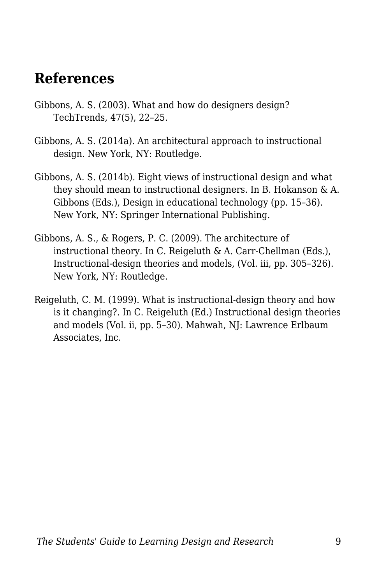#### **References**

- Gibbons, A. S. (2003). What and how do designers design? TechTrends, 47(5), 22–25.
- Gibbons, A. S. (2014a). An architectural approach to instructional design. New York, NY: Routledge.
- Gibbons, A. S. (2014b). Eight views of instructional design and what they should mean to instructional designers. In B. Hokanson & A. Gibbons (Eds.), Design in educational technology (pp. 15–36). New York, NY: Springer International Publishing.
- Gibbons, A. S., & Rogers, P. C. (2009). The architecture of instructional theory. In C. Reigeluth & A. Carr-Chellman (Eds.), Instructional-design theories and models, (Vol. iii, pp. 305–326). New York, NY: Routledge.
- Reigeluth, C. M. (1999). What is instructional-design theory and how is it changing?. In C. Reigeluth (Ed.) Instructional design theories and models (Vol. ii, pp. 5–30). Mahwah, NJ: Lawrence Erlbaum Associates, Inc.